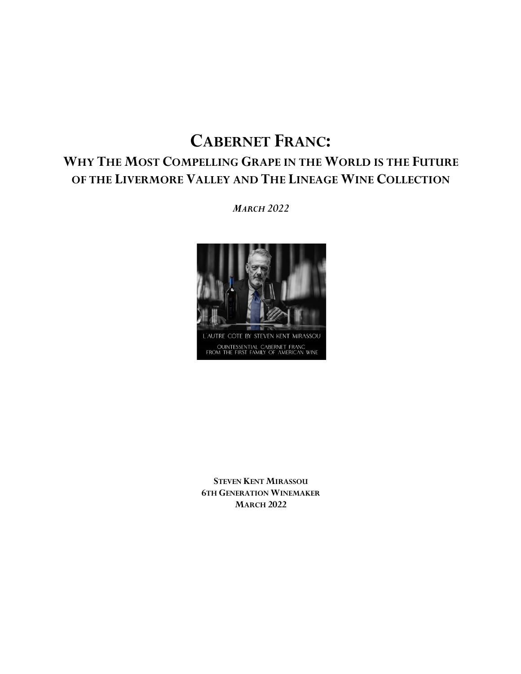# **CABERNET FRANC:**

# **WHY THE MOST COMPELLING GRAPE IN THE WORLD IS THE FUTURE OF THE LIVERMORE VALLEY AND THE LINEAGE WINE COLLECTION**

*MARCH 2022*



**STEVEN KENT MIRASSOU 6TH GENERATION WINEMAKER MARCH 2022**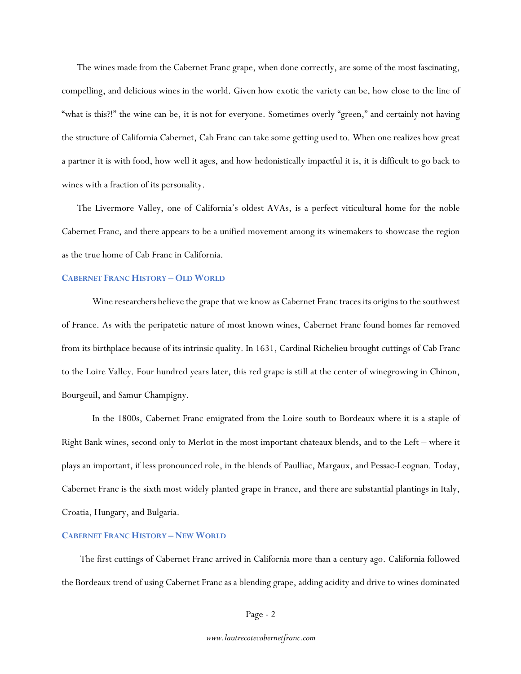The wines made from the Cabernet Franc grape, when done correctly, are some of the most fascinating, compelling, and delicious wines in the world. Given how exotic the variety can be, how close to the line of "what is this?!" the wine can be, it is not for everyone. Sometimes overly "green," and certainly not having the structure of California Cabernet, Cab Franc can take some getting used to. When one realizes how great a partner it is with food, how well it ages, and how hedonistically impactful it is, it is difficult to go back to wines with a fraction of its personality.

The Livermore Valley, one of California's oldest AVAs, is a perfect viticultural home for the noble Cabernet Franc, and there appears to be a unified movement among its winemakers to showcase the region as the true home of Cab Franc in California.

## **CABERNET FRANC HISTORY – OLD WORLD**

Wine researchers believe the grape that we know as Cabernet Franc traces its origins to the southwest of France. As with the peripatetic nature of most known wines, Cabernet Franc found homes far removed from its birthplace because of its intrinsic quality. In 1631, Cardinal Richelieu brought cuttings of Cab Franc to the Loire Valley. Four hundred years later, this red grape is still at the center of winegrowing in Chinon, Bourgeuil, and Samur Champigny.

In the 1800s, Cabernet Franc emigrated from the Loire south to Bordeaux where it is a staple of Right Bank wines, second only to Merlot in the most important chateaux blends, and to the Left – where it plays an important, if less pronounced role, in the blends of Paulliac, Margaux, and Pessac-Leognan. Today, Cabernet Franc is the sixth most widely planted grape in France, and there are substantial plantings in Italy, Croatia, Hungary, and Bulgaria.

## **CABERNET FRANC HISTORY – NEW WORLD**

 The first cuttings of Cabernet Franc arrived in California more than a century ago. California followed the Bordeaux trend of using Cabernet Franc as a blending grape, adding acidity and drive to wines dominated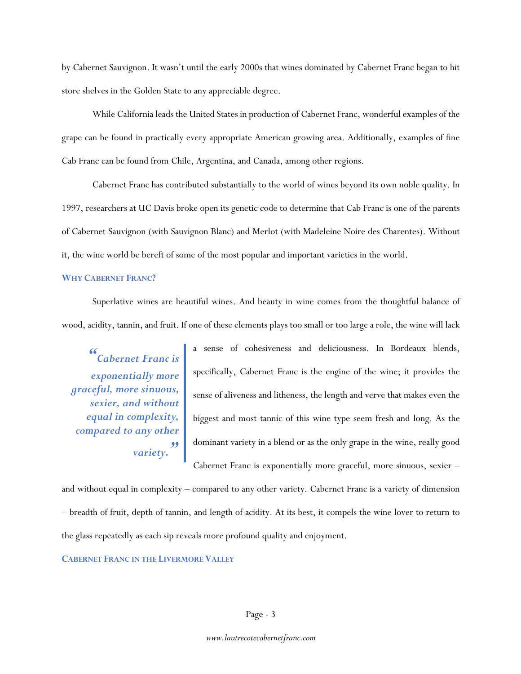by Cabernet Sauvignon. It wasn't until the early 2000s that wines dominated by Cabernet Franc began to hit store shelves in the Golden State to any appreciable degree.

While California leads the United States in production of Cabernet Franc, wonderful examples of the grape can be found in practically every appropriate American growing area. Additionally, examples of fine Cab Franc can be found from Chile, Argentina, and Canada, among other regions.

Cabernet Franc has contributed substantially to the world of wines beyond its own noble quality. In 1997, researchers at UC Davis broke open its genetic code to determine that Cab Franc is one of the parents of Cabernet Sauvignon (with Sauvignon Blanc) and Merlot (with Madeleine Noire des Charentes). Without it, the wine world be bereft of some of the most popular and important varieties in the world.

#### **WHY CABERNET FRANC?**

Superlative wines are beautiful wines. And beauty in wine comes from the thoughtful balance of wood, acidity, tannin, and fruit. If one of these elements plays too small or too large a role, the wine will lack

*" Cabernet Franc is exponentially more graceful, more sinuous, sexier, and without equal in complexity, compared to any other variety."*  a sense of cohesiveness and deliciousness. In Bordeaux blends, specifically, Cabernet Franc is the engine of the wine; it provides the sense of aliveness and litheness, the length and verve that makes even the biggest and most tannic of this wine type seem fresh and long. As the dominant variety in a blend or as the only grape in the wine, really good Cabernet Franc is exponentially more graceful, more sinuous, sexier –

and without equal in complexity – compared to any other variety. Cabernet Franc is a variety of dimension – breadth of fruit, depth of tannin, and length of acidity. At its best, it compels the wine lover to return to the glass repeatedly as each sip reveals more profound quality and enjoyment.

**CABERNET FRANC IN THE LIVERMORE VALLEY**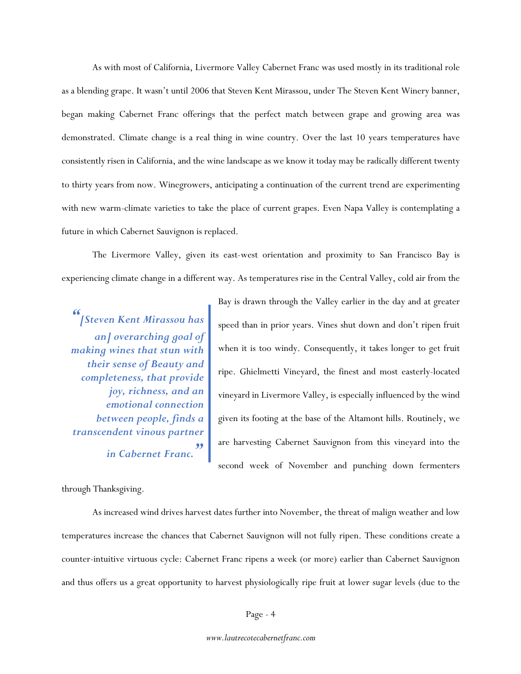As with most of California, Livermore Valley Cabernet Franc was used mostly in its traditional role as a blending grape. It wasn't until 2006 that Steven Kent Mirassou, under The Steven Kent Winery banner, began making Cabernet Franc offerings that the perfect match between grape and growing area was demonstrated. Climate change is a real thing in wine country. Over the last 10 years temperatures have consistently risen in California, and the wine landscape as we know it today may be radically different twenty to thirty years from now. Winegrowers, anticipating a continuation of the current trend are experimenting with new warm-climate varieties to take the place of current grapes. Even Napa Valley is contemplating a future in which Cabernet Sauvignon is replaced.

The Livermore Valley, given its east-west orientation and proximity to San Francisco Bay is experiencing climate change in a different way. As temperatures rise in the Central Valley, cold air from the

*" [Steven Kent Mirassou has an] overarching goal of making wines that stun with their sense of Beauty and completeness, that provide joy, richness, and an emotional connection between people, finds a transcendent vinous partner in Cabernet Franc. "*

Bay is drawn through the Valley earlier in the day and at greater speed than in prior years. Vines shut down and don't ripen fruit when it is too windy. Consequently, it takes longer to get fruit ripe. Ghielmetti Vineyard, the finest and most easterly-located vineyard in Livermore Valley, is especially influenced by the wind given its footing at the base of the Altamont hills. Routinely, we are harvesting Cabernet Sauvignon from this vineyard into the second week of November and punching down fermenters

through Thanksgiving.

As increased wind drives harvest dates further into November, the threat of malign weather and low temperatures increase the chances that Cabernet Sauvignon will not fully ripen. These conditions create a counter-intuitive virtuous cycle: Cabernet Franc ripens a week (or more) earlier than Cabernet Sauvignon and thus offers us a great opportunity to harvest physiologically ripe fruit at lower sugar levels (due to the